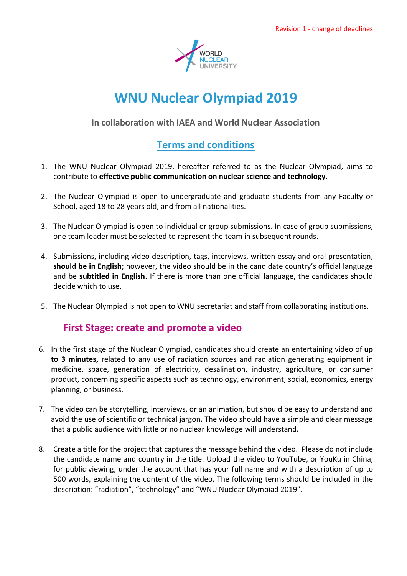

# **WNU Nuclear Olympiad 2019**

**In collaboration with IAEA and World Nuclear Association**

## **Terms and conditions**

- 1. The WNU Nuclear Olympiad 2019, hereafter referred to as the Nuclear Olympiad, aims to contribute to **effective public communication on nuclear science and technology**.
- 2. The Nuclear Olympiad is open to undergraduate and graduate students from any Faculty or School, aged 18 to 28 years old, and from all nationalities.
- 3. The Nuclear Olympiad is open to individual or group submissions. In case of group submissions, one team leader must be selected to represent the team in subsequent rounds.
- 4. Submissions, including video description, tags, interviews, written essay and oral presentation, **should be in English**; however, the video should be in the candidate country's official language and be **subtitled in English.** If there is more than one official language, the candidates should decide which to use.
- 5. The Nuclear Olympiad is not open to WNU secretariat and staff from collaborating institutions.

### **First Stage: create and promote a video**

- 6. In the first stage of the Nuclear Olympiad, candidates should create an entertaining video of **up to 3 minutes,** related to any use of radiation sources and radiation generating equipment in medicine, space, generation of electricity, desalination, industry, agriculture, or consumer product, concerning specific aspects such as technology, environment, social, economics, energy planning, or business.
- 7. The video can be storytelling, interviews, or an animation, but should be easy to understand and avoid the use of scientific or technical jargon. The video should have a simple and clear message that a public audience with little or no nuclear knowledge will understand.
- 8. Create a title for the project that captures the message behind the video. Please do not include the candidate name and country in the title. Upload the video to YouTube, or YouKu in China, for public viewing, under the account that has your full name and with a description of up to 500 words, explaining the content of the video. The following terms should be included in the description: "radiation", "technology" and "WNU Nuclear Olympiad 2019".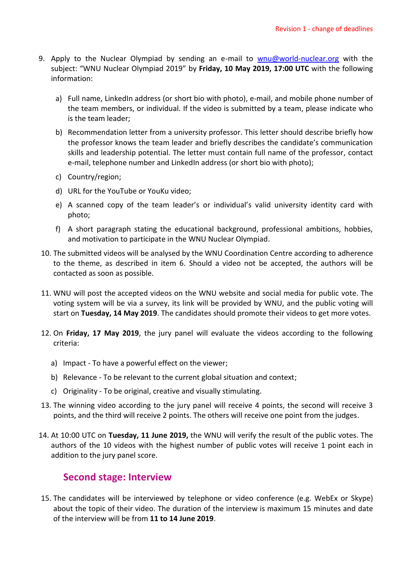- 9. Apply to the Nuclear Olympiad by sending an e-mail to [wnu@world-nuclear.org](mailto:wnu@world-nuclear.org) with the subject: "WNU Nuclear Olympiad 2019" by **Friday, 10 May 2019, 17:00 UTC** with the following information:
	- a) Full name, LinkedIn address (or short bio with photo), e-mail, and mobile phone number of the team members, or individual. If the video is submitted by a team, please indicate who is the team leader;
	- b) Recommendation letter from a university professor. This letter should describe briefly how the professor knows the team leader and briefly describes the candidate's communication skills and leadership potential. The letter must contain full name of the professor, contact e-mail, telephone number and LinkedIn address (or short bio with photo);
	- c) Country/region;
	- d) URL for the YouTube or YouKu video;
	- e) A scanned copy of the team leader's or individual's valid university identity card with photo;
	- f) A short paragraph stating the educational background, professional ambitions, hobbies, and motivation to participate in the WNU Nuclear Olympiad.
- 10. The submitted videos will be analysed by the WNU Coordination Centre according to adherence to the theme, as described in item 6. Should a video not be accepted, the authors will be contacted as soon as possible.
- 11. WNU will post the accepted videos on the WNU website and social media for public vote. The voting system will be via a survey, its link will be provided by WNU, and the public voting will start on **Tuesday, 14 May 2019**. The candidates should promote their videos to get more votes.
- 12. On **Friday, 17 May 2019**, the jury panel will evaluate the videos according to the following criteria:
	- a) Impact To have a powerful effect on the viewer;
	- b) Relevance To be relevant to the current global situation and context;
	- c) Originality To be original, creative and visually stimulating.
- 13. The winning video according to the jury panel will receive 4 points, the second will receive 3 points, and the third will receive 2 points. The others will receive one point from the judges.
- 14. At 10:00 UTC on **Tuesday, 11 June 2019,** the WNU will verify the result of the public votes. The authors of the 10 videos with the highest number of public votes will receive 1 point each in addition to the jury panel score.

### **Second stage: Interview**

15. The candidates will be interviewed by telephone or video conference (e.g. WebEx or Skype) about the topic of their video. The duration of the interview is maximum 15 minutes and date of the interview will be from **11 to 14 June 2019**.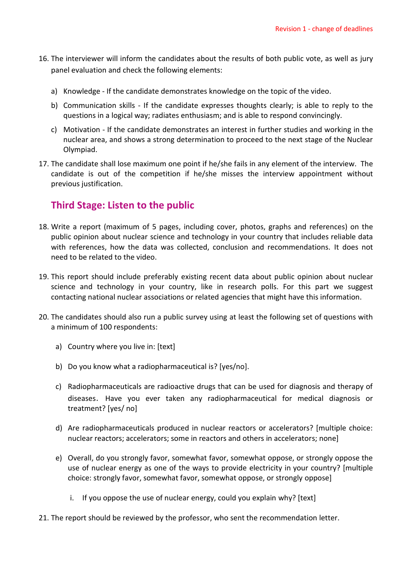- 16. The interviewer will inform the candidates about the results of both public vote, as well as jury panel evaluation and check the following elements:
	- a) Knowledge If the candidate demonstrates knowledge on the topic of the video.
	- b) Communication skills If the candidate expresses thoughts clearly; is able to reply to the questions in a logical way; radiates enthusiasm; and is able to respond convincingly.
	- c) Motivation If the candidate demonstrates an interest in further studies and working in the nuclear area, and shows a strong determination to proceed to the next stage of the Nuclear Olympiad.
- 17. The candidate shall lose maximum one point if he/she fails in any element of the interview. The candidate is out of the competition if he/she misses the interview appointment without previous justification.

#### **Third Stage: Listen to the public**

- 18. Write a report (maximum of 5 pages, including cover, photos, graphs and references) on the public opinion about nuclear science and technology in your country that includes reliable data with references, how the data was collected, conclusion and recommendations. It does not need to be related to the video.
- 19. This report should include preferably existing recent data about public opinion about nuclear science and technology in your country, like in research polls. For this part we suggest contacting national nuclear associations or related agencies that might have this information.
- 20. The candidates should also run a public survey using at least the following set of questions with a minimum of 100 respondents:
	- a) Country where you live in: [text]
	- b) Do you know what a radiopharmaceutical is? [yes/no].
	- c) Radiopharmaceuticals are radioactive drugs that can be used for diagnosis and therapy of diseases. Have you ever taken any radiopharmaceutical for medical diagnosis or treatment? [yes/ no]
	- d) Are radiopharmaceuticals produced in nuclear reactors or accelerators? [multiple choice: nuclear reactors; accelerators; some in reactors and others in accelerators; none]
	- e) Overall, do you strongly favor, somewhat favor, somewhat oppose, or strongly oppose the use of nuclear energy as one of the ways to provide electricity in your country? [multiple choice: strongly favor, somewhat favor, somewhat oppose, or strongly oppose]
		- i. If you oppose the use of nuclear energy, could you explain why? [text]
- 21. The report should be reviewed by the professor, who sent the recommendation letter.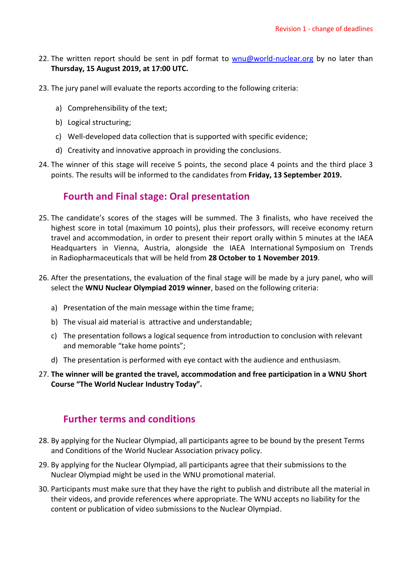- 22. The written report should be sent in pdf format to [wnu@world-nuclear.org](mailto:wnu@world-nuclear.org) by no later than **Thursday, 15 August 2019, at 17:00 UTC.**
- 23. The jury panel will evaluate the reports according to the following criteria:
	- a) Comprehensibility of the text;
	- b) Logical structuring;
	- c) Well-developed data collection that is supported with specific evidence;
	- d) Creativity and innovative approach in providing the conclusions.
- 24. The winner of this stage will receive 5 points, the second place 4 points and the third place 3 points. The results will be informed to the candidates from **Friday, 13 September 2019.**

### **Fourth and Final stage: Oral presentation**

- 25. The candidate's scores of the stages will be summed. The 3 finalists, who have received the highest score in total (maximum 10 points), plus their professors, will receive economy return travel and accommodation, in order to present their report orally within 5 minutes at the IAEA Headquarters in Vienna, Austria, alongside the IAEA International Symposium on Trends in Radiopharmaceuticals that will be held from **28 October to 1 November 2019**.
- 26. After the presentations, the evaluation of the final stage will be made by a jury panel, who will select the **WNU Nuclear Olympiad 2019 winner**, based on the following criteria:
	- a) Presentation of the main message within the time frame;
	- b) The visual aid material is attractive and understandable;
	- c) The presentation follows a logical sequence from introduction to conclusion with relevant and memorable "take home points";
	- d) The presentation is performed with eye contact with the audience and enthusiasm.
- 27. **The winner will be granted the travel, accommodation and free participation in a WNU Short Course "The World Nuclear Industry Today".**

### **Further terms and conditions**

- 28. By applying for the Nuclear Olympiad, all participants agree to be bound by the present Terms and Conditions of the [World Nuclear Association](http://www.world-nuclear.org/homepage-items/privacy/privacy-policy.aspx) privacy policy.
- 29. By applying for the Nuclear Olympiad, all participants agree that their submissions to the Nuclear Olympiad might be used in the WNU promotional material.
- 30. Participants must make sure that they have the right to publish and distribute all the material in their videos, and provide references where appropriate. The WNU accepts no liability for the content or publication of video submissions to the Nuclear Olympiad.